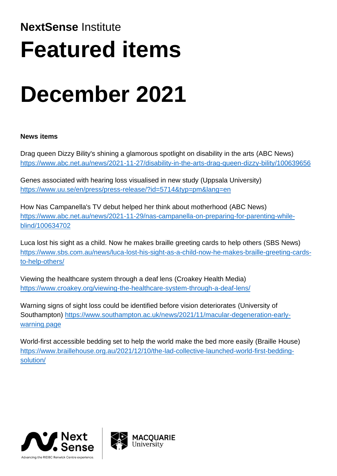## **NextSense** Institute **Featured items**

# **December 2021**

### **News items**

Drag queen Dizzy Bility's shining a glamorous spotlight on disability in the arts (ABC News) <https://www.abc.net.au/news/2021-11-27/disability-in-the-arts-drag-queen-dizzy-bility/100639656>

Genes associated with hearing loss visualised in new study (Uppsala University) <https://www.uu.se/en/press/press-release/?id=5714&typ=pm&lang=en>

How Nas Campanella's TV debut helped her think about motherhood (ABC News) [https://www.abc.net.au/news/2021-11-29/nas-campanella-on-preparing-for-parenting-while](https://www.abc.net.au/news/2021-11-29/nas-campanella-on-preparing-for-parenting-while-blind/100634702)[blind/100634702](https://www.abc.net.au/news/2021-11-29/nas-campanella-on-preparing-for-parenting-while-blind/100634702)

Luca lost his sight as a child. Now he makes braille greeting cards to help others (SBS News) [https://www.sbs.com.au/news/luca-lost-his-sight-as-a-child-now-he-makes-braille-greeting-cards](https://www.sbs.com.au/news/luca-lost-his-sight-as-a-child-now-he-makes-braille-greeting-cards-to-help-others/)[to-help-others/](https://www.sbs.com.au/news/luca-lost-his-sight-as-a-child-now-he-makes-braille-greeting-cards-to-help-others/)

Viewing the healthcare system through a deaf lens (Croakey Health Media) <https://www.croakey.org/viewing-the-healthcare-system-through-a-deaf-lens/>

Warning signs of sight loss could be identified before vision deteriorates (University of Southampton) [https://www.southampton.ac.uk/news/2021/11/macular-degeneration-early](https://www.southampton.ac.uk/news/2021/11/macular-degeneration-early-warning.page)[warning.page](https://www.southampton.ac.uk/news/2021/11/macular-degeneration-early-warning.page)

World-first accessible bedding set to help the world make the bed more easily (Braille House) [https://www.braillehouse.org.au/2021/12/10/the-lad-collective-launched-world-first-bedding](https://www.braillehouse.org.au/2021/12/10/the-lad-collective-launched-world-first-bedding-solution/)[solution/](https://www.braillehouse.org.au/2021/12/10/the-lad-collective-launched-world-first-bedding-solution/)



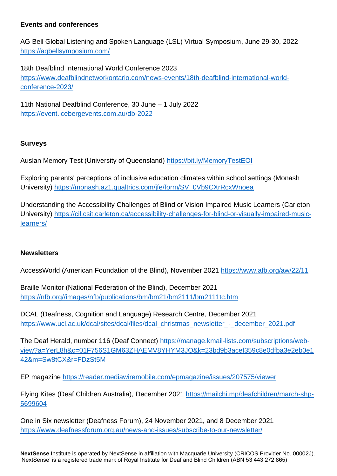#### **Events and conferences**

AG Bell Global Listening and Spoken Language (LSL) Virtual Symposium, June 29-30, 2022 <https://agbellsymposium.com/>

18th Deafblind International World Conference 2023 [https://www.deafblindnetworkontario.com/news-events/18th-deafblind-international-world](https://www.deafblindnetworkontario.com/news-events/18th-deafblind-international-world-conference-2023/)[conference-2023/](https://www.deafblindnetworkontario.com/news-events/18th-deafblind-international-world-conference-2023/)

11th National Deafblind Conference, 30 June – 1 July 2022 <https://event.icebergevents.com.au/db-2022>

#### **Surveys**

Auslan Memory Test (University of Queensland)<https://bit.ly/MemoryTestEOI>

Exploring parents' perceptions of inclusive education climates within school settings (Monash University) https://monash.az1.qualtrics.com/ife/form/SV\_0Vb9CXrRcxWnoea

Understanding the Accessibility Challenges of Blind or Vision Impaired Music Learners (Carleton University) [https://cil.csit.carleton.ca/accessibility-challenges-for-blind-or-visually-impaired-music](https://cil.csit.carleton.ca/accessibility-challenges-for-blind-or-visually-impaired-music-learners/)[learners/](https://cil.csit.carleton.ca/accessibility-challenges-for-blind-or-visually-impaired-music-learners/)

#### **Newsletters**

AccessWorld (American Foundation of the Blind), November 2021<https://www.afb.org/aw/22/11>

Braille Monitor (National Federation of the Blind), December 2021 [https://nfb.org//images/nfb/publications/bm/bm21/bm2111/bm2111tc.htm](https://nfb.org/images/nfb/publications/bm/bm21/bm2111/bm2111tc.htm)

DCAL (Deafness, Cognition and Language) Research Centre, December 2021 [https://www.ucl.ac.uk/dcal/sites/dcal/files/dcal\\_christmas\\_newsletter\\_-\\_december\\_2021.pdf](https://www.ucl.ac.uk/dcal/sites/dcal/files/dcal_christmas_newsletter_-_december_2021.pdf)

The Deaf Herald, number 116 (Deaf Connect) [https://manage.kmail-lists.com/subscriptions/web](https://manage.kmail-lists.com/subscriptions/web-view?a=YerL8h&c=01F756S1GM63ZHAEMV8YHYM3JQ&k=23bd9b3acef359c8e0dfba3e2eb0e142&m=Sw8tCX&r=FDzSt5M)[view?a=YerL8h&c=01F756S1GM63ZHAEMV8YHYM3JQ&k=23bd9b3acef359c8e0dfba3e2eb0e1](https://manage.kmail-lists.com/subscriptions/web-view?a=YerL8h&c=01F756S1GM63ZHAEMV8YHYM3JQ&k=23bd9b3acef359c8e0dfba3e2eb0e142&m=Sw8tCX&r=FDzSt5M) [42&m=Sw8tCX&r=FDzSt5M](https://manage.kmail-lists.com/subscriptions/web-view?a=YerL8h&c=01F756S1GM63ZHAEMV8YHYM3JQ&k=23bd9b3acef359c8e0dfba3e2eb0e142&m=Sw8tCX&r=FDzSt5M)

EP magazine <https://reader.mediawiremobile.com/epmagazine/issues/207575/viewer>

Flying Kites (Deaf Children Australia), December 2021 [https://mailchi.mp/deafchildren/march-shp-](https://mailchi.mp/deafchildren/march-shp-5699604)[5699604](https://mailchi.mp/deafchildren/march-shp-5699604)

One in Six newsletter (Deafness Forum), 24 November 2021, and 8 December 2021 <https://www.deafnessforum.org.au/news-and-issues/subscribe-to-our-newsletter/>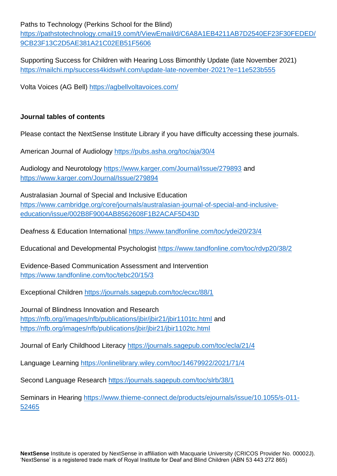Paths to Technology (Perkins School for the Blind)

[https://pathstotechnology.cmail19.com/t/ViewEmail/d/C6A8A1EB4211AB7D2540EF23F30FEDED/](https://pathstotechnology.cmail19.com/t/ViewEmail/d/C6A8A1EB4211AB7D2540EF23F30FEDED/9CB23F13C2D5AE381A21C02EB51F5606) [9CB23F13C2D5AE381A21C02EB51F5606](https://pathstotechnology.cmail19.com/t/ViewEmail/d/C6A8A1EB4211AB7D2540EF23F30FEDED/9CB23F13C2D5AE381A21C02EB51F5606)

Supporting Success for Children with Hearing Loss Bimonthly Update (late November 2021) <https://mailchi.mp/success4kidswhl.com/update-late-november-2021?e=11e523b555>

Volta Voices (AG Bell)<https://agbellvoltavoices.com/>

#### **Journal tables of contents**

Please contact the NextSense Institute Library if you have difficulty accessing these journals.

American Journal of Audiology <https://pubs.asha.org/toc/aja/30/4>

Audiology and Neurotology <https://www.karger.com/Journal/Issue/279893> and <https://www.karger.com/Journal/Issue/279894>

Australasian Journal of Special and Inclusive Education [https://www.cambridge.org/core/journals/australasian-journal-of-special-and-inclusive](https://www.cambridge.org/core/journals/australasian-journal-of-special-and-inclusive-education/issue/002B8F9004AB8562608F1B2ACAF5D43D)[education/issue/002B8F9004AB8562608F1B2ACAF5D43D](https://www.cambridge.org/core/journals/australasian-journal-of-special-and-inclusive-education/issue/002B8F9004AB8562608F1B2ACAF5D43D)

Deafness & Education International <https://www.tandfonline.com/toc/ydei20/23/4>

Educational and Developmental Psychologist <https://www.tandfonline.com/toc/rdvp20/38/2>

Evidence-Based Communication Assessment and Intervention <https://www.tandfonline.com/toc/tebc20/15/3>

Exceptional Children <https://journals.sagepub.com/toc/ecxc/88/1>

Journal of Blindness Innovation and Research [https://nfb.org//images/nfb/publications/jbir/jbir21/jbir1101tc.html](https://nfb.org/images/nfb/publications/jbir/jbir21/jbir1101tc.html) and <https://nfb.org/images/nfb/publications/jbir/jbir21/jbir1102tc.html>

Journal of Early Childhood Literacy <https://journals.sagepub.com/toc/ecla/21/4>

Language Learning <https://onlinelibrary.wiley.com/toc/14679922/2021/71/4>

Second Language Research <https://journals.sagepub.com/toc/slrb/38/1>

Seminars in Hearing [https://www.thieme-connect.de/products/ejournals/issue/10.1055/s-011-](https://www.thieme-connect.de/products/ejournals/issue/10.1055/s-011-52465) [52465](https://www.thieme-connect.de/products/ejournals/issue/10.1055/s-011-52465)